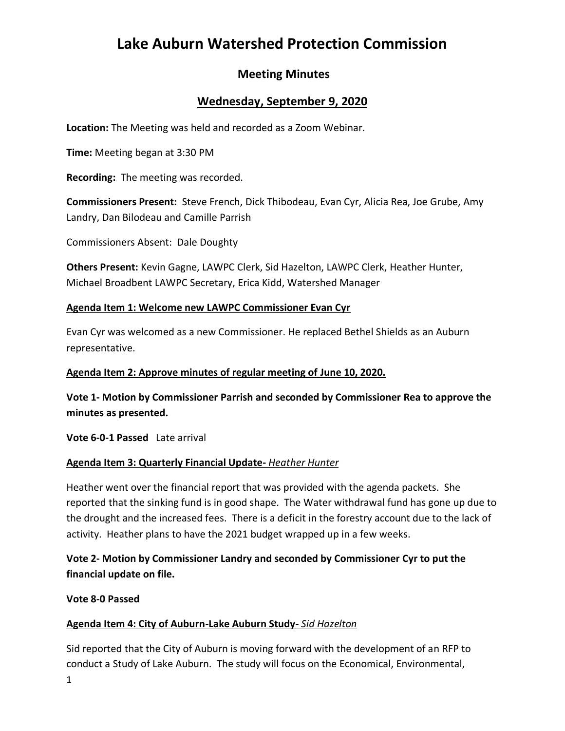# **Lake Auburn Watershed Protection Commission**

# **Meeting Minutes**

### **Wednesday, September 9, 2020**

**Location:** The Meeting was held and recorded as a Zoom Webinar.

**Time:** Meeting began at 3:30 PM

**Recording:** The meeting was recorded.

**Commissioners Present:** Steve French, Dick Thibodeau, Evan Cyr, Alicia Rea, Joe Grube, Amy Landry, Dan Bilodeau and Camille Parrish

Commissioners Absent: Dale Doughty

**Others Present:** Kevin Gagne, LAWPC Clerk, Sid Hazelton, LAWPC Clerk, Heather Hunter, Michael Broadbent LAWPC Secretary, Erica Kidd, Watershed Manager

#### **Agenda Item 1: Welcome new LAWPC Commissioner Evan Cyr**

Evan Cyr was welcomed as a new Commissioner. He replaced Bethel Shields as an Auburn representative.

#### **Agenda Item 2: Approve minutes of regular meeting of June 10, 2020.**

**Vote 1- Motion by Commissioner Parrish and seconded by Commissioner Rea to approve the minutes as presented.**

**Vote 6-0-1 Passed** Late arrival

### **Agenda Item 3: Quarterly Financial Update-** *Heather Hunter*

Heather went over the financial report that was provided with the agenda packets. She reported that the sinking fund is in good shape. The Water withdrawal fund has gone up due to the drought and the increased fees. There is a deficit in the forestry account due to the lack of activity. Heather plans to have the 2021 budget wrapped up in a few weeks.

### **Vote 2- Motion by Commissioner Landry and seconded by Commissioner Cyr to put the financial update on file.**

**Vote 8-0 Passed**

### **Agenda Item 4: City of Auburn-Lake Auburn Study-** *Sid Hazelton*

Sid reported that the City of Auburn is moving forward with the development of an RFP to conduct a Study of Lake Auburn. The study will focus on the Economical, Environmental,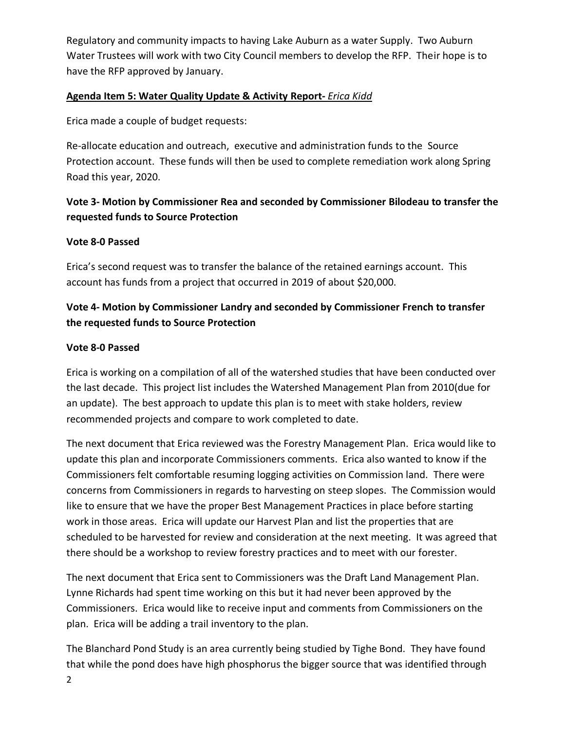Regulatory and community impacts to having Lake Auburn as a water Supply. Two Auburn Water Trustees will work with two City Council members to develop the RFP. Their hope is to have the RFP approved by January.

### **Agenda Item 5: Water Quality Update & Activity Report-** *Erica Kidd*

Erica made a couple of budget requests:

Re-allocate education and outreach, executive and administration funds to the Source Protection account. These funds will then be used to complete remediation work along Spring Road this year, 2020.

# **Vote 3- Motion by Commissioner Rea and seconded by Commissioner Bilodeau to transfer the requested funds to Source Protection**

### **Vote 8-0 Passed**

Erica's second request was to transfer the balance of the retained earnings account. This account has funds from a project that occurred in 2019 of about \$20,000.

# **Vote 4- Motion by Commissioner Landry and seconded by Commissioner French to transfer the requested funds to Source Protection**

### **Vote 8-0 Passed**

Erica is working on a compilation of all of the watershed studies that have been conducted over the last decade. This project list includes the Watershed Management Plan from 2010(due for an update). The best approach to update this plan is to meet with stake holders, review recommended projects and compare to work completed to date.

The next document that Erica reviewed was the Forestry Management Plan. Erica would like to update this plan and incorporate Commissioners comments. Erica also wanted to know if the Commissioners felt comfortable resuming logging activities on Commission land. There were concerns from Commissioners in regards to harvesting on steep slopes. The Commission would like to ensure that we have the proper Best Management Practices in place before starting work in those areas. Erica will update our Harvest Plan and list the properties that are scheduled to be harvested for review and consideration at the next meeting. It was agreed that there should be a workshop to review forestry practices and to meet with our forester.

The next document that Erica sent to Commissioners was the Draft Land Management Plan. Lynne Richards had spent time working on this but it had never been approved by the Commissioners. Erica would like to receive input and comments from Commissioners on the plan. Erica will be adding a trail inventory to the plan.

The Blanchard Pond Study is an area currently being studied by Tighe Bond. They have found that while the pond does have high phosphorus the bigger source that was identified through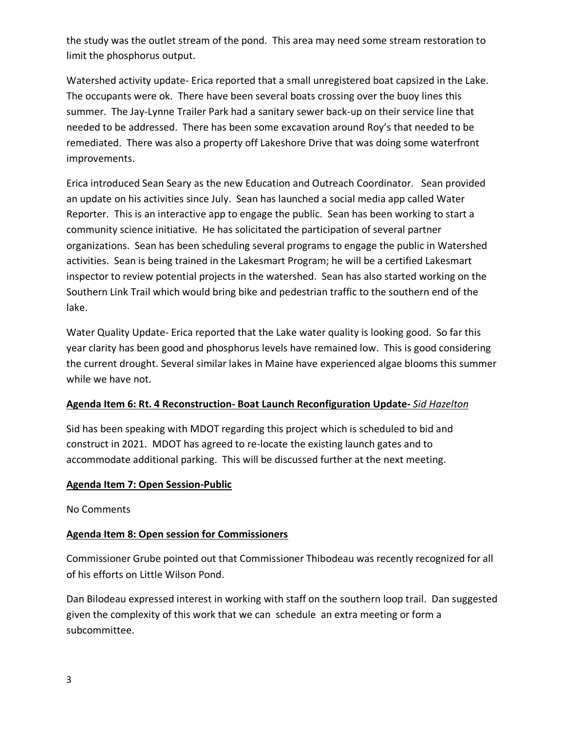the study was the outlet stream of the pond. This area may need some stream restoration to limit the phosphorus output.

Watershed activity update- Erica reported that a small unregistered boat capsized in the Lake. The occupants were ok. There have been several boats crossing over the buoy lines this summer. The Jay-Lynne Trailer Park had a sanitary sewer back-up on their service line that needed to be addressed. There has been some excavation around Roy's that needed to be remediated. There was also a property off Lakeshore Drive that was doing some waterfront improvements.

Erica introduced Sean Seary as the new Education and Outreach Coordinator. Sean provided an update on his activities since July. Sean has launched a social media app called Water Reporter. This is an interactive app to engage the public. Sean has been working to start a community science initiative. He has solicitated the participation of several partner organizations. Sean has been scheduling several programs to engage the public in Watershed activities. Sean is being trained in the Lakesmart Program; he will be a certified Lakesmart inspector to review potential projects in the watershed. Sean has also started working on the Southern Link Trail which would bring bike and pedestrian traffic to the southern end of the lake.

Water Quality Update- Erica reported that the Lake water quality is looking good. So far this year clarity has been good and phosphorus levels have remained low. This is good considering the current drought. Several similar lakes in Maine have experienced algae blooms this summer while we have not.

### **Agenda Item 6: Rt. 4 Reconstruction- Boat Launch Reconfiguration Update-** *Sid Hazelton*

Sid has been speaking with MDOT regarding this project which is scheduled to bid and construct in 2021. MDOT has agreed to re-locate the existing launch gates and to accommodate additional parking. This will be discussed further at the next meeting.

### **Agenda Item 7: Open Session-Public**

No Comments

### **Agenda Item 8: Open session for Commissioners**

Commissioner Grube pointed out that Commissioner Thibodeau was recently recognized for all of his efforts on Little Wilson Pond.

Dan Bilodeau expressed interest in working with staff on the southern loop trail. Dan suggested given the complexity of this work that we can schedule an extra meeting or form a subcommittee.